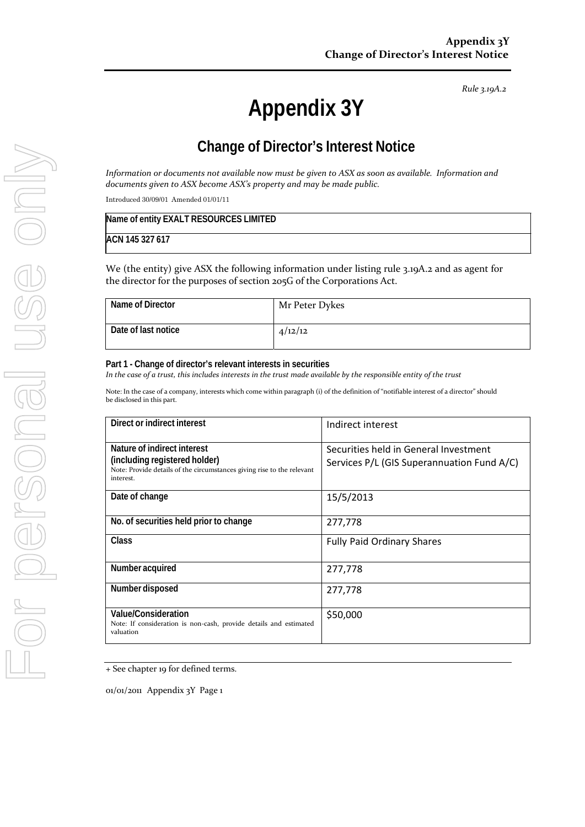#### *Rule 3.19A.2*

# **Appendix 3Y**

# **Change of Director's Interest Notice**

*Information or documents not available now must be given to ASX as soon as available. Information and documents given to ASX become ASX's property and may be made public.*

Introduced 30/09/01 Amended 01/01/11

| Name of entity EXALT RESOURCES LIMITED |  |
|----------------------------------------|--|
| ACN 145 327 617                        |  |

We (the entity) give ASX the following information under listing rule 3.19A.2 and as agent for the director for the purposes of section 205G of the Corporations Act.

| Name of Director    | Mr Peter Dykes |
|---------------------|----------------|
| Date of last notice | 4/12/12        |

#### **Part 1 - Change of director's relevant interests in securities**

In the case of a trust, this includes interests in the trust made available by the responsible entity of the trust

Note: In the case of a company, interests which come within paragraph (i) of the definition of "notifiable interest of a director" should be disclosed in this part.

| Direct or indirect interest                                                                                                                         | Indirect interest                                                                   |
|-----------------------------------------------------------------------------------------------------------------------------------------------------|-------------------------------------------------------------------------------------|
| Nature of indirect interest<br>(including registered holder)<br>Note: Provide details of the circumstances giving rise to the relevant<br>interest. | Securities held in General Investment<br>Services P/L (GIS Superannuation Fund A/C) |
| Date of change                                                                                                                                      | 15/5/2013                                                                           |
| No. of securities held prior to change                                                                                                              | 277,778                                                                             |
| Class                                                                                                                                               | <b>Fully Paid Ordinary Shares</b>                                                   |
| Number acquired                                                                                                                                     | 277,778                                                                             |
| Number disposed                                                                                                                                     | 277,778                                                                             |
| Value/Consideration<br>Note: If consideration is non-cash, provide details and estimated<br>valuation                                               | \$50,000                                                                            |

+ See chapter 19 for defined terms.

01/01/2011 Appendix 3Y Page 1